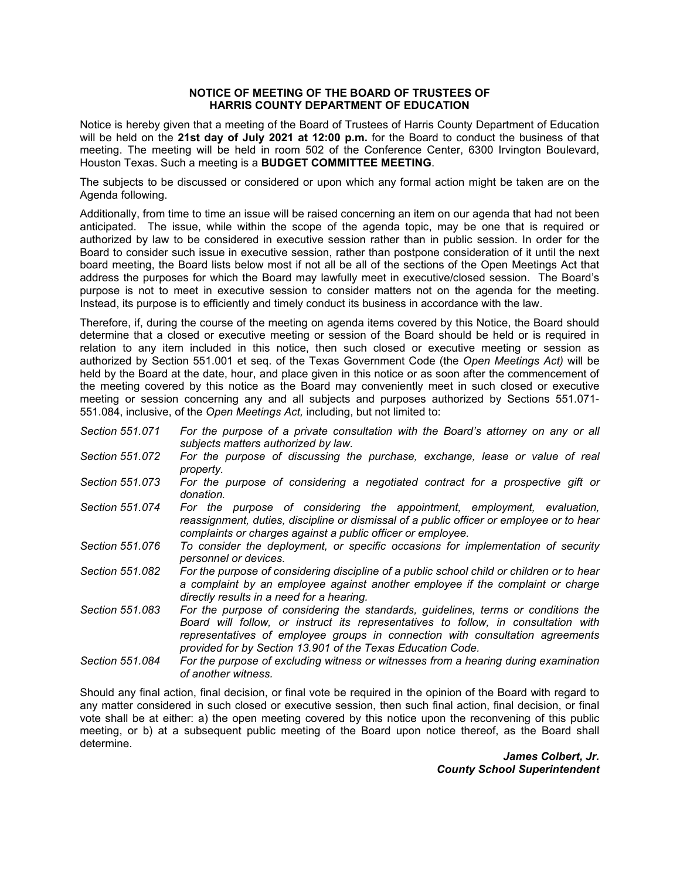## **NOTICE OF MEETING OF THE BOARD OF TRUSTEES OF HARRIS COUNTY DEPARTMENT OF EDUCATION**

 Notice is hereby given that a meeting of the Board of Trustees of Harris County Department of Education  will be held on the **21st day of July 2021 at 12:00 p.m.** for the Board to conduct the business of that meeting. The meeting will be held in room 502 of the Conference Center, 6300 Irvington Boulevard, Houston Texas. Such a meeting is a **BUDGET COMMITTEE MEETING**.

 The subjects to be discussed or considered or upon which any formal action might be taken are on the Agenda following.

 Board to consider such issue in executive session, rather than postpone consideration of it until the next board meeting, the Board lists below most if not all be all of the sections of the Open Meetings Act that address the purposes for which the Board may lawfully meet in executive/closed session. The Board's purpose is not to meet in executive session to consider matters not on the agenda for the meeting. Instead, its purpose is to efficiently and timely conduct its business in accordance with the law. Additionally, from time to time an issue will be raised concerning an item on our agenda that had not been anticipated. The issue, while within the scope of the agenda topic, may be one that is required or authorized by law to be considered in executive session rather than in public session. In order for the

 relation to any item included in this notice, then such closed or executive meeting or session as authorized by Section 551.001 et seq. of the Texas Government Code (the *Open Meetings Act)* will be 551.084, inclusive, of the *Open Meetings Act,* including, but not limited to: Therefore, if, during the course of the meeting on agenda items covered by this Notice, the Board should determine that a closed or executive meeting or session of the Board should be held or is required in held by the Board at the date, hour, and place given in this notice or as soon after the commencement of the meeting covered by this notice as the Board may conveniently meet in such closed or executive meeting or session concerning any and all subjects and purposes authorized by Sections 551.071-

- *Section 551.071 For the purpose of a private consultation with the Board's attorney on any or all subjects matters authorized by law.*
- *Section 551.072 For the purpose of discussing the purchase, exchange, lease or value of real property.*
- *Section 551.073 For the purpose of considering a negotiated contract for a prospective gift or donation.*
- Section 551.074  *reassignment, duties, discipline or dismissal of a public officer or employee or to hear*  For the purpose of considering the appointment, employment, evaluation, *complaints or charges against a public officer or employee.*
- *Section 551.076 To consider the deployment, or specific occasions for implementation of security personnel or devices.*
- *Section 551.082 For the purpose of considering discipline of a public school child or children or to hear a complaint by an employee against another employee if the complaint or charge directly results in a need for a hearing.*
- *Section 551.083 For the purpose of considering the standards, guidelines, terms or conditions the Board will follow, or instruct its representatives to follow, in consultation with representatives of employee groups in connection with consultation agreements provided for by Section 13.901 of the Texas Education Code.*
- *Section 551.084 For the purpose of excluding witness or witnesses from a hearing during examination of another witness.*

 Should any final action, final decision, or final vote be required in the opinion of the Board with regard to any matter considered in such closed or executive session, then such final action, final decision, or final vote shall be at either: a) the open meeting covered by this notice upon the reconvening of this public meeting, or b) at a subsequent public meeting of the Board upon notice thereof, as the Board shall determine.

*James Colbert, Jr. County School Superintendent*